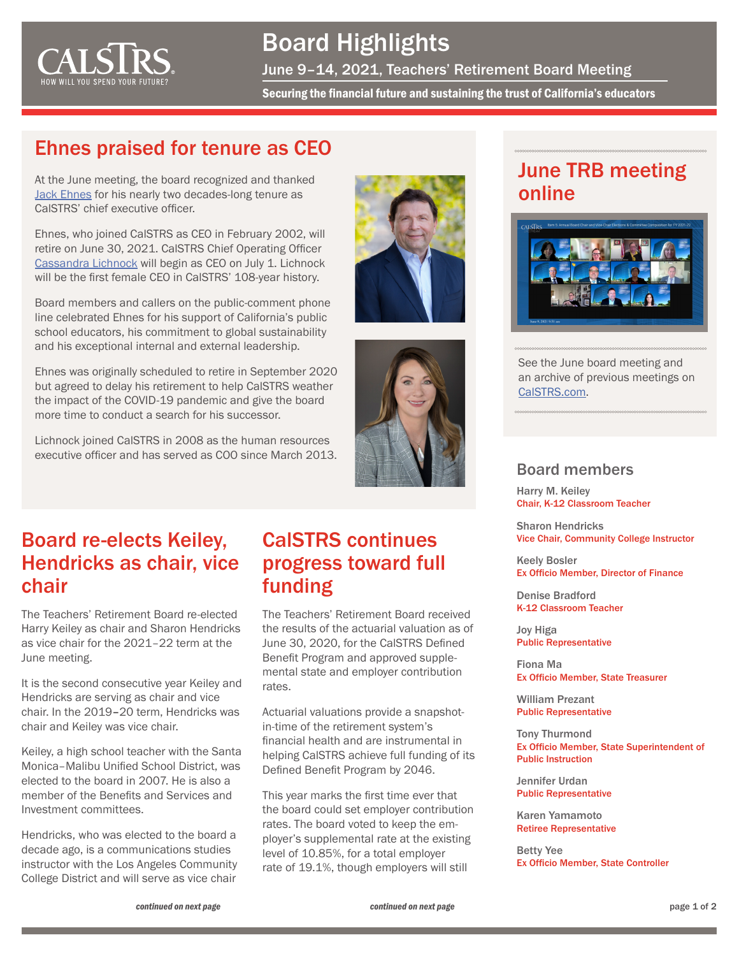<span id="page-0-0"></span>

Board Highlights June 9–14, 2021, Teachers' Retirement Board Meeting

Securing the financial future and sustaining the trust of California's educators

#### Ehnes praised for tenure as CEO

At the June meeting, the board recognized and thanked [Jack Ehnes](https://www.calstrs.com/news-release/calstrs-ceo-jack-ehnes-announces-retirement) for his nearly two decades-long tenure as CalSTRS' chief executive officer.

Ehnes, who joined CalSTRS as CEO in February 2002, will retire on June 30, 2021. CalSTRS Chief Operating Officer [Cassandra Lichnock](https://www.calstrs.com/news-release/cassandra-lichnock-announced-new-calstrs-ceo) will begin as CEO on July 1. Lichnock will be the first female CEO in CalSTRS' 108-year history.

Board members and callers on the public-comment phone line celebrated Ehnes for his support of California's public school educators, his commitment to global sustainability and his exceptional internal and external leadership.

Ehnes was originally scheduled to retire in September 2020 but agreed to delay his retirement to help CalSTRS weather the impact of the COVID-19 pandemic and give the board more time to conduct a search for his successor.

Lichnock joined CalSTRS in 2008 as the human resources executive officer and has served as COO since March 2013.





# June TRB meeting online



See the June board meeting and an archive of previous meetings on [CalSTRS.com.](https://www.calstrs.com/board-meeting-video-archive)

#### Board members

Harry M. Keiley Chair, K-12 Classroom Teacher

Sharon Hendricks Vice Chair, Community College Instructor

Keely Bosler Ex Officio Member, Director of Finance

Denise Bradford K-12 Classroom Teacher

Joy Higa Public Representative

Fiona Ma Ex Officio Member, State Treasurer

William Prezant Public Representative

Tony Thurmond Ex Officio Member, State Superintendent of Public Instruction

Jennifer Urdan Public Representative

Karen Yamamoto Retiree Representative

Betty Yee Ex Officio Member, State Controller

## Board re-elects Keiley, Hendricks as chair, vice chair

The Teachers' Retirement Board re-elected [Harry Keiley](https://www.calstrs.com/profile/harry-m-keiley) as chair and [Sharon Hendricks](https://www.calstrs.com/profile/sharon-hendricks) as vice chair for the 2021–22 term at the June meeting.

It is the second consecutive year Keiley and Hendricks are serving as chair and vice chair. In the 2019–20 term, Hendricks was chair and Keiley was vice chair.

Keiley, a high school teacher with the Santa Monica–Malibu Unified School District, was elected to the board in 2007. He is also a member of the Benefits and Services and Investment committees.

Hendricks, who was elected to the board a decade ago, is a communications studies instructor with the Los Angeles Community College District and will serve as vice chair

#### CalSTRS continues progress toward full funding

The Teachers' Retirement Board received the results of the actuarial valuation as of June 30, 2020, for the [CalSTRS Defined](https://www.calstrs.com/defined-benefit-program)  [Benefit Program](https://www.calstrs.com/defined-benefit-program) and approved supplemental state and employer contribution rates.

Actuarial valuations provide a snapshotin-time of the retirement system's financial health and are instrumental in helping CalSTRS achieve full funding of its Defined Benefit Program by 2046.

This year marks the first time ever that the board could set employer contribution rates. The board voted to keep the employer's supplemental rate at the existing level of 10.85%, for a total employer rate of 19.1%, though employers will still